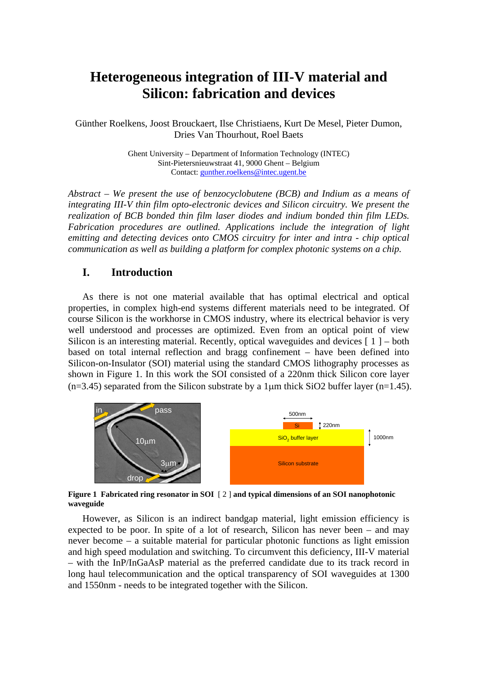# **Heterogeneous integration of III-V material and Silicon: fabrication and devices**

Günther Roelkens, Joost Brouckaert, Ilse Christiaens, Kurt De Mesel, Pieter Dumon, Dries Van Thourhout, Roel Baets

> Ghent University – Department of Information Technology (INTEC) Sint-Pietersnieuwstraat 41, 9000 Ghent – Belgium Contact: gunther.roelkens@intec.ugent.be

*Abstract – We present the use of benzocyclobutene (BCB) and Indium as a means of integrating III-V thin film opto-electronic devices and Silicon circuitry. We present the realization of BCB bonded thin film laser diodes and indium bonded thin film LEDs. Fabrication procedures are outlined. Applications include the integration of light emitting and detecting devices onto CMOS circuitry for inter and intra - chip optical communication as well as building a platform for complex photonic systems on a chip.* 

## **I. Introduction**

As there is not one material available that has optimal electrical and optical properties, in complex high-end systems different materials need to be integrated. Of course Silicon is the workhorse in CMOS industry, where its electrical behavior is very well understood and processes are optimized. Even from an optical point of view Silicon is an interesting material. Recently, optical waveguides and devices  $[1]$  – both based on total internal reflection and bragg confinement – have been defined into Silicon-on-Insulator (SOI) material using the standard CMOS lithography processes as shown in Figure 1. In this work the SOI consisted of a 220nm thick Silicon core layer  $(n=3.45)$  separated from the Silicon substrate by a 1 µm thick SiO2 buffer layer  $(n=1.45)$ .



**Figure 1 Fabricated ring resonator in SOI** [ 2 ] **and typical dimensions of an SOI nanophotonic waveguide** 

However, as Silicon is an indirect bandgap material, light emission efficiency is expected to be poor. In spite of a lot of research, Silicon has never been – and may never become – a suitable material for particular photonic functions as light emission and high speed modulation and switching. To circumvent this deficiency, III-V material – with the InP/InGaAsP material as the preferred candidate due to its track record in long haul telecommunication and the optical transparency of SOI waveguides at 1300 and 1550nm - needs to be integrated together with the Silicon.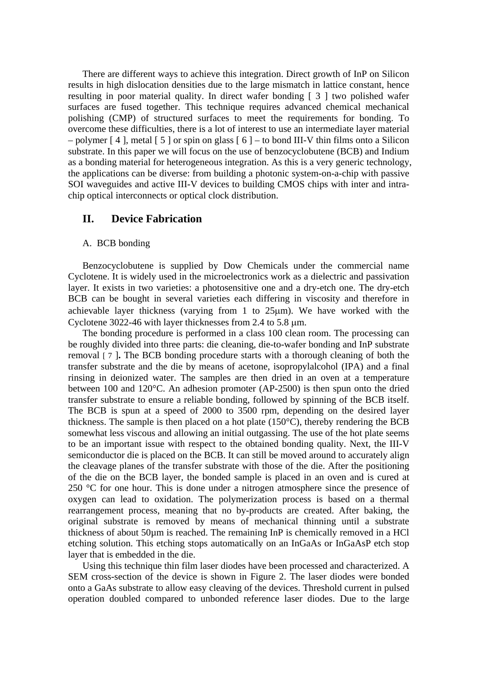There are different ways to achieve this integration. Direct growth of InP on Silicon results in high dislocation densities due to the large mismatch in lattice constant, hence resulting in poor material quality. In direct wafer bonding [ 3 ] two polished wafer surfaces are fused together. This technique requires advanced chemical mechanical polishing (CMP) of structured surfaces to meet the requirements for bonding. To overcome these difficulties, there is a lot of interest to use an intermediate layer material – polymer  $[4]$ , metal  $[5]$  or spin on glass  $[6]$  – to bond III-V thin films onto a Silicon substrate. In this paper we will focus on the use of benzocyclobutene (BCB) and Indium as a bonding material for heterogeneous integration. As this is a very generic technology, the applications can be diverse: from building a photonic system-on-a-chip with passive SOI waveguides and active III-V devices to building CMOS chips with inter and intrachip optical interconnects or optical clock distribution.

### **II. Device Fabrication**

#### A. BCB bonding

Benzocyclobutene is supplied by Dow Chemicals under the commercial name Cyclotene. It is widely used in the microelectronics work as a dielectric and passivation layer. It exists in two varieties: a photosensitive one and a dry-etch one. The dry-etch BCB can be bought in several varieties each differing in viscosity and therefore in achievable layer thickness (varying from 1 to 25µm). We have worked with the Cyclotene 3022-46 with layer thicknesses from 2.4 to 5.8 µm.

The bonding procedure is performed in a class 100 clean room. The processing can be roughly divided into three parts: die cleaning, die-to-wafer bonding and InP substrate removal [ 7 ]**.** The BCB bonding procedure starts with a thorough cleaning of both the transfer substrate and the die by means of acetone, isopropylalcohol (IPA) and a final rinsing in deionized water. The samples are then dried in an oven at a temperature between 100 and 120°C. An adhesion promoter (AP-2500) is then spun onto the dried transfer substrate to ensure a reliable bonding, followed by spinning of the BCB itself. The BCB is spun at a speed of 2000 to 3500 rpm, depending on the desired layer thickness. The sample is then placed on a hot plate (150°C), thereby rendering the BCB somewhat less viscous and allowing an initial outgassing. The use of the hot plate seems to be an important issue with respect to the obtained bonding quality. Next, the III-V semiconductor die is placed on the BCB. It can still be moved around to accurately align the cleavage planes of the transfer substrate with those of the die. After the positioning of the die on the BCB layer, the bonded sample is placed in an oven and is cured at 250 °C for one hour. This is done under a nitrogen atmosphere since the presence of oxygen can lead to oxidation. The polymerization process is based on a thermal rearrangement process, meaning that no by-products are created. After baking, the original substrate is removed by means of mechanical thinning until a substrate thickness of about 50µm is reached. The remaining InP is chemically removed in a HCl etching solution. This etching stops automatically on an InGaAs or InGaAsP etch stop layer that is embedded in the die.

Using this technique thin film laser diodes have been processed and characterized. A SEM cross-section of the device is shown in Figure 2. The laser diodes were bonded onto a GaAs substrate to allow easy cleaving of the devices. Threshold current in pulsed operation doubled compared to unbonded reference laser diodes. Due to the large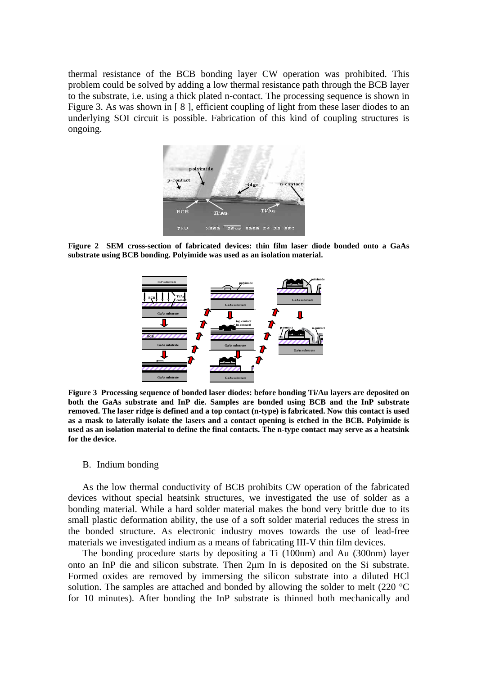thermal resistance of the BCB bonding layer CW operation was prohibited. This problem could be solved by adding a low thermal resistance path through the BCB layer to the substrate, i.e. using a thick plated n-contact. The processing sequence is shown in Figure 3. As was shown in [8], efficient coupling of light from these laser diodes to an underlying SOI circuit is possible. Fabrication of this kind of coupling structures is ongoing.



**Figure 2 SEM cross-section of fabricated devices: thin film laser diode bonded onto a GaAs substrate using BCB bonding. Polyimide was used as an isolation material.** 



**Figure 3 Processing sequence of bonded laser diodes: before bonding Ti/Au layers are deposited on both the GaAs substrate and InP die. Samples are bonded using BCB and the InP substrate removed. The laser ridge is defined and a top contact (n-type) is fabricated. Now this contact is used as a mask to laterally isolate the lasers and a contact opening is etched in the BCB. Polyimide is used as an isolation material to define the final contacts. The n-type contact may serve as a heatsink for the device.** 

#### B. Indium bonding

As the low thermal conductivity of BCB prohibits CW operation of the fabricated devices without special heatsink structures, we investigated the use of solder as a bonding material. While a hard solder material makes the bond very brittle due to its small plastic deformation ability, the use of a soft solder material reduces the stress in the bonded structure. As electronic industry moves towards the use of lead-free materials we investigated indium as a means of fabricating III-V thin film devices.

The bonding procedure starts by depositing a Ti (100nm) and Au (300nm) layer onto an InP die and silicon substrate. Then 2µm In is deposited on the Si substrate. Formed oxides are removed by immersing the silicon substrate into a diluted HCl solution. The samples are attached and bonded by allowing the solder to melt (220 °C for 10 minutes). After bonding the InP substrate is thinned both mechanically and